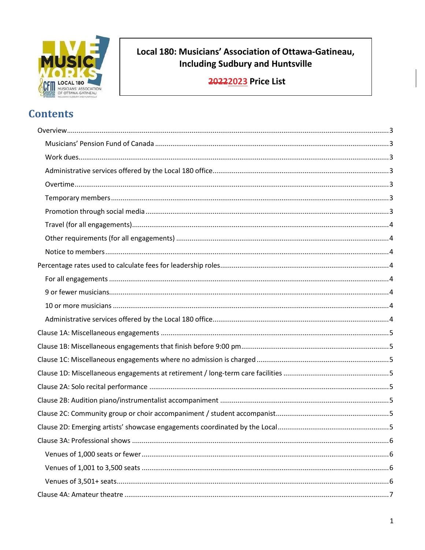

# Local 180: Musicians' Association of Ottawa-Gatineau, **Including Sudbury and Huntsville**

20222023 Price List

# **Contents**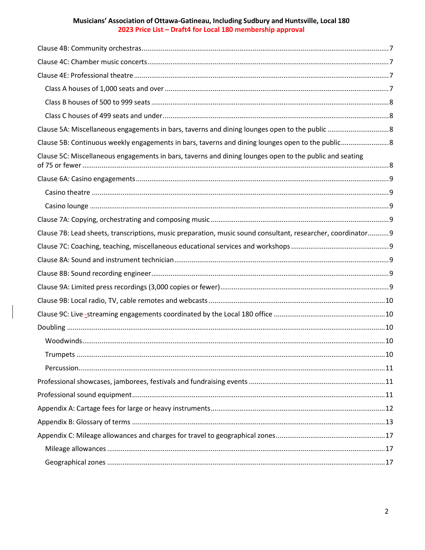| Clause 5C: Miscellaneous engagements in bars, taverns and dining lounges open to the public and seating      |  |
|--------------------------------------------------------------------------------------------------------------|--|
|                                                                                                              |  |
|                                                                                                              |  |
|                                                                                                              |  |
|                                                                                                              |  |
| Clause 7B: Lead sheets, transcriptions, music preparation, music sound consultant, researcher, coordinator 9 |  |
|                                                                                                              |  |
|                                                                                                              |  |
|                                                                                                              |  |
|                                                                                                              |  |
|                                                                                                              |  |
|                                                                                                              |  |
|                                                                                                              |  |
|                                                                                                              |  |
|                                                                                                              |  |
|                                                                                                              |  |
|                                                                                                              |  |
|                                                                                                              |  |
|                                                                                                              |  |
|                                                                                                              |  |
|                                                                                                              |  |
|                                                                                                              |  |
|                                                                                                              |  |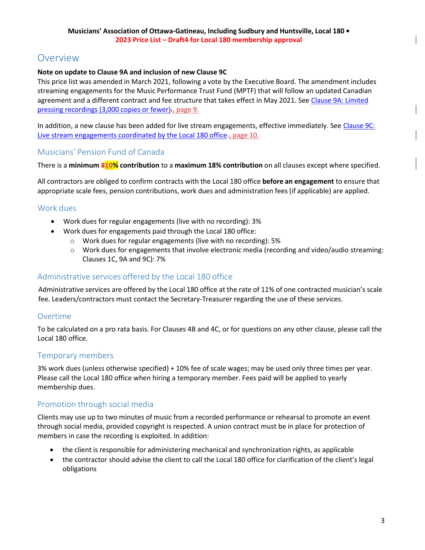# <span id="page-2-0"></span>Overview

# **Note on update to Clause 9A and inclusion of new Clause 9C**

This price list was amended in March 2021, following a vote by the Executive Board. The amendment includes streaming engagements for the Music Performance Trust Fund (MPTF) that will follow an updated Canadian agreement and a different contract and fee structure that takes effect in May 2021. See [Clause 9A: Limited](#page-10-8) pressing [recordings](#page-10-8) (3,000 copies or fewer)-, page 9.

In addition, a new clause has been added for live stream engagements, effective immediately. See [Clause 9C:](#page-11-1) Live stream [engagements](#page-11-1) coordinated by the Local 180 office-, page 10.

# <span id="page-2-1"></span>Musicians' Pension Fund of Canada

There is a **minimum 810% contribution** to a **maximum 18% contribution** on all clauses except where specified.

All contractors are obliged to confirm contracts with the Local 180 office **before an engagement** to ensure that appropriate scale fees, pension contributions, work dues and administration fees (if applicable) are applied.

# <span id="page-2-2"></span>Work dues

- Work dues for regular engagements (live with no recording): 3%
- Work dues for engagements paid through the Local 180 office:
	- o Work dues for regular engagements (live with no recording): 5%
	- o Work dues for engagements that involve electronic media (recording and video/audio streaming: Clauses 1C, 9A and 9C): 7%

# <span id="page-2-3"></span>Administrative services offered by the Local 180 office

<span id="page-2-4"></span>Administrative services are offered by the Local 180 office at the rate of 11% of one contracted musician's scale fee. Leaders/contractors must contact the Secretary-Treasurer regarding the use of these services.

# Overtime

To be calculated on a pro rata basis. For Clauses 4B and 4C, or for questions on any other clause, please call the Local 180 office.

# <span id="page-2-5"></span>Temporary members

3% work dues (unless otherwise specified) + 10% fee of scale wages; may be used only three times per year. Please call the Local 180 office when hiring a temporary member. Fees paid will be applied to yearly membership dues.

# <span id="page-2-6"></span>Promotion through social media

Clients may use up to two minutes of music from a recorded performance or rehearsal to promote an event through social media, provided copyright is respected. A union contract must be in place for protection of members in case the recording is exploited. In addition:

- the client is responsible for administering mechanical and synchronization rights, as applicable
- the contractor should advise the client to call the Local 180 office for clarification of the client's legal obligations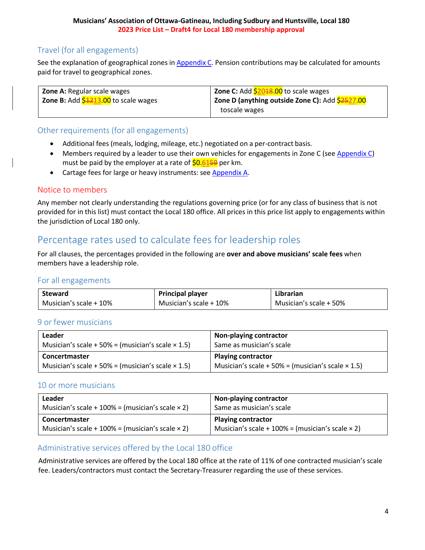# <span id="page-3-0"></span>Travel (for all engagements)

See the explanation of geographical zones in [Appendix](#page-18-0) C. Pension contributions may be calculated for amounts paid for travel to geographical zones.

| <b>Zone A:</b> Regular scale wages           | <b>Zone C:</b> Add <b>\$2018.00</b> to scale wages                                   |
|----------------------------------------------|--------------------------------------------------------------------------------------|
| <b>Zone B:</b> Add $$1213.00$ to scale wages | <sup>'</sup> Zone D (anything outside Zone C): Add <mark>\$<del>25</del>27.00</mark> |
|                                              | toscale wages                                                                        |

# <span id="page-3-1"></span>Other requirements (for all engagements)

- Additional fees (meals, lodging, mileage, etc.) negotiated on a per-contract basis.
- Members required by a leader to use their own vehicles for engagements in Zone C (see [Appendix C\)](#page-18-0) must be paid by the employer at a rate of  $$0.6159$  per km.
- Cartage fees for large or heavy instruments: see [Appendix](#page-13-0) A.

# <span id="page-3-2"></span>Notice to members

Any member not clearly understanding the regulations governing price (or for any class of business that is not provided for in this list) must contact the Local 180 office. All prices in this price list apply to engagements within the jurisdiction of Local 180 only.

# <span id="page-3-3"></span>Percentage rates used to calculate fees for leadership roles

<span id="page-3-4"></span>For all clauses, the percentages provided in the following are **over and above musicians' scale fees** when members have a leadership role.

# For all engagements

| <b>Steward</b>         | <b>Principal player</b> | Librarian              |
|------------------------|-------------------------|------------------------|
| Musician's scale + 10% | Musician's scale + 10%  | Musician's scale + 50% |

# <span id="page-3-5"></span>9 or fewer musicians

| Leader                                                   | Non-playing contractor                                   |
|----------------------------------------------------------|----------------------------------------------------------|
| Musician's scale + 50% = (musician's scale $\times$ 1.5) | Same as musician's scale                                 |
| Concertmaster                                            | <b>Playing contractor</b>                                |
| Musician's scale + 50% = (musician's scale $\times$ 1.5) | Musician's scale + 50% = (musician's scale $\times$ 1.5) |

# <span id="page-3-6"></span>10 or more musicians

| Leader                                                     | Non-playing contractor                                     |
|------------------------------------------------------------|------------------------------------------------------------|
| Musician's scale + $100%$ = (musician's scale $\times$ 2)  | Same as musician's scale                                   |
| Concertmaster                                              | <b>Playing contractor</b>                                  |
| Musician's scale + $100\%$ = (musician's scale $\times$ 2) | Musician's scale + $100\%$ = (musician's scale $\times$ 2) |

# <span id="page-3-7"></span>Administrative services offered by the Local 180 office

Administrative services are offered by the Local 180 office at the rate of 11% of one contracted musician's scale fee. Leaders/contractors must contact the Secretary-Treasurer regarding the use of these services.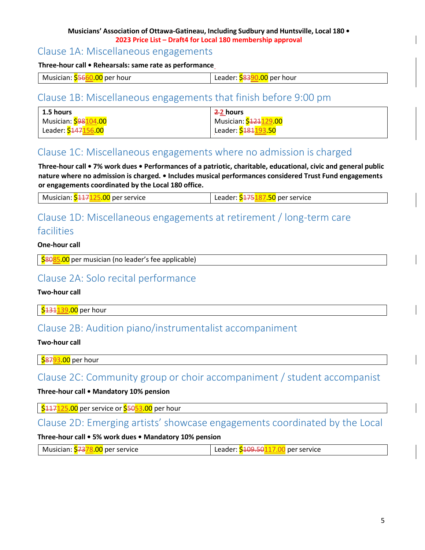# <span id="page-4-0"></span>Clause 1A: Miscellaneous engagements

### **Three-hour call • Rehearsals: same rate as performance**

|--|

# <span id="page-4-1"></span>Clause 1B: Miscellaneous engagements that finish before 9:00 pm

| $\pm$ 1.5 hours                   | 22 hours                           |
|-----------------------------------|------------------------------------|
| Musician: <mark>\$98104.00</mark> | Musician: <mark>\$424129.00</mark> |
| Leader: <mark>\$447156.00</mark>  | Leader: <mark>\$181</mark> 193.50  |

# <span id="page-4-2"></span>Clause 1C: Miscellaneous engagements where no admission is charged

**Three-hour call • 7% work dues • Performances of a patriotic, charitable, educational, civic and general public nature where no admission is charged. • Includes musical performances considered Trust Fund engagements or engagements coordinated by the Local 180 office.**

# <span id="page-4-3"></span>Clause 1D: Miscellaneous engagements at retirement / long-term care facilities

# **One-hour call**

\$8085.00 per musician (no leader's fee applicable)

# <span id="page-4-4"></span>Clause 2A: Solo recital performance

### **Two-hour call**

\$431139.00 per hour

# <span id="page-4-5"></span>Clause 2B: Audition piano/instrumentalist accompaniment

### **Two-hour call**

587<mark>93.00</mark> per hour

# <span id="page-4-6"></span>Clause 2C: Community group or choir accompaniment / student accompanist

# **Three-hour call • Mandatory 10% pension**

| <mark>\$117<mark>125.00</mark> per service or <mark>\$</mark>50<mark>53.00</mark> per hour</mark>

# <span id="page-4-7"></span>Clause 2D: Emerging artists' showcase engagements coordinated by the Local

# **Three-hour call • 5% work dues • Mandatory 10% pension**

| 00 per service. | <b>5109.507</b>        |
|-----------------|------------------------|
| Musician:       | ∟eader: <mark>S</mark> |
| . S737          | per service            |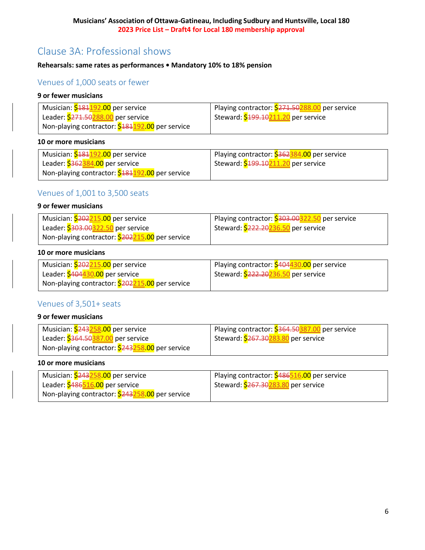# <span id="page-5-0"></span>Clause 3A: Professional shows

# <span id="page-5-1"></span>**Rehearsals: same rates as performances • Mandatory 10% to 18% pension**

# Venues of 1,000 seats or fewer

### **9 or fewer musicians**

| Musician: <mark>\$181192.00</mark> per service                            | Playing contractor: <b>\$271.50288.00</b> per service |
|---------------------------------------------------------------------------|-------------------------------------------------------|
| Leader: <mark>\$271.50<mark>288.00</mark> per service</mark>              | Steward: \$199.10211.20 per service                   |
| Non-playing contractor: <mark>\$181<mark>192.00</mark> per service</mark> |                                                       |

#### **10 or more musicians**

| Musician: <mark>\$181192.00</mark> per service            | Playing contractor: 5362384.00 per service |
|-----------------------------------------------------------|--------------------------------------------|
| Leader: <mark>\$362<mark>384.00</mark> per service</mark> | Steward: \$199.10211.20 per service        |
| Non-playing contractor: \$181192.00 per service           |                                            |

# <span id="page-5-2"></span>Venues of 1,001 to 3,500 seats

### **9 or fewer musicians**

| Musician: <mark>\$202<mark>215.00</mark> per service</mark>  | Playing contractor: \$303.00322.50 per service |
|--------------------------------------------------------------|------------------------------------------------|
| Leader: <mark>\$303.00<mark>322.50</mark> per service</mark> | Steward: 2222.20236.50 per service             |
| Non-playing contractor: 5202215.00 per service               |                                                |

# **10 or more musicians**

| Musician: <mark>\$202215.00</mark> per service               | Playing contractor: 5404430.00 per service |
|--------------------------------------------------------------|--------------------------------------------|
| Leader: \$404 <mark>430.00</mark> per service                | Steward: \$222.20236.50 per service        |
| Non-playing contractor: <mark>\$202215.00</mark> per service |                                            |

# <span id="page-5-3"></span>Venues of 3,501+ seats

### **9 or fewer musicians**

| Musician: <mark>\$243258.00</mark> per service  | Playing contractor: <b>\$364.50387.00</b> per service |
|-------------------------------------------------|-------------------------------------------------------|
| Leader: \$364.50387.00 per service              | Steward: \$267.30283.80 per service                   |
| Non-playing contractor: \$243258.00 per service |                                                       |

### **10 or more musicians**

| Musician: <mark>\$243258.00</mark> per service           | Playing contractor: \$486516.00 per service |
|----------------------------------------------------------|---------------------------------------------|
| Leader: \$4 <del>86<mark>516.00</mark></del> per service | Steward: \$267.30283.80 per service         |
| Non-playing contractor: \$243258.00 per service          |                                             |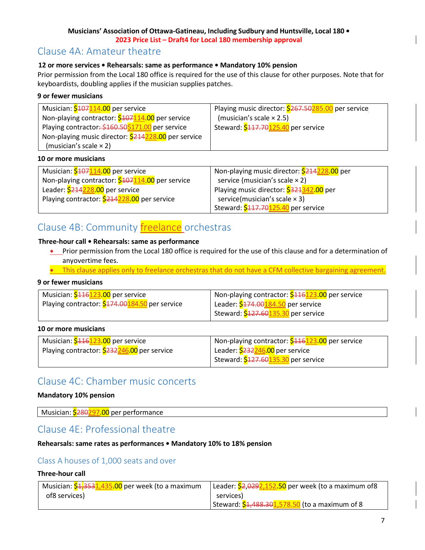# <span id="page-6-0"></span>Clause 4A: Amateur theatre

# **12 or more services • Rehearsals: same as performance • Mandatory 10% pension**

Prior permission from the Local 180 office is required for the use of this clause for other purposes. Note that for keyboardists, doubling applies if the musician supplies patches.

# **9 or fewer musicians**

| Musician: <mark>\$107<mark>114.00</mark> per service</mark> | Playing music director: <b>\$267.50285.00</b> per service |
|-------------------------------------------------------------|-----------------------------------------------------------|
| Non-playing contractor: \$107114.00 per service             | (musician's scale $\times$ 2.5)                           |
| Playing contractor: \$160.50\$171.00 per service            | Steward: \$117.70125.40 per service                       |
| Non-playing music director: \$214228.00 per service         |                                                           |
| (musician's scale $\times$ 2)                               |                                                           |

### **10 or more musicians**

| Musician: <mark>\$</mark> 107 <mark>114.00</mark> per service | Non-playing music director: \$214228.00 per |
|---------------------------------------------------------------|---------------------------------------------|
| Non-playing contractor: \$107114.00 per service               | service (musician's scale $\times$ 2)       |
| Leader: \$214228.00 per service                               | Playing music director: \$321342.00 per     |
| Playing contractor: \$214228.00 per service                   | service(musician's scale $\times$ 3)        |
|                                                               | Steward: \$117.70125.40 per service         |

# <span id="page-6-1"></span>Clause 4B: Community **freelance** orchestras

# **Three-hour call • Rehearsals: same as performance**

- Prior permission from the Local 180 office is required for the use of this clause and for a determination of anyovertime fees.
- This clause applies only to freelance orchestras that do not have a CFM collective bargaining agreement.

# **9 or fewer musicians**

| Musician: \$116123.00 per service                     | Non-playing contractor: \$416123.00 per service |
|-------------------------------------------------------|-------------------------------------------------|
| Playing contractor: <b>\$174.00184.50</b> per service | Leader: \$174.00184.50 per service              |
|                                                       | Steward: \$427.60135.30 per service             |

### **10 or more musicians**

| Musician: \$116123.00 per service                  | Non-playing contractor: \$416123.00 per service |
|----------------------------------------------------|-------------------------------------------------|
| Playing contractor: <b>\$232246.00</b> per service | Leader: \$232246.00 per service                 |
|                                                    | Steward: \$127.60135.30 per service             |

# <span id="page-6-2"></span>Clause 4C: Chamber music concerts

### **Mandatory 10% pension**

Musician: \$280297.00 per performance

# <span id="page-6-3"></span>Clause 4E: Professional theatre

### <span id="page-6-4"></span>**Rehearsals: same rates as performances • Mandatory 10% to 18% pension**

# Class A houses of 1,000 seats and over

### **Three-hour call**

| Musician: \$1,3531,435.00 per week (to a maximum | Leader: 2,0292,152.50 per week (to a maximum of 8 |
|--------------------------------------------------|---------------------------------------------------|
| of8 services)                                    | services)                                         |
|                                                  | Steward: 54,488.301,578.50 (to a maximum of 8     |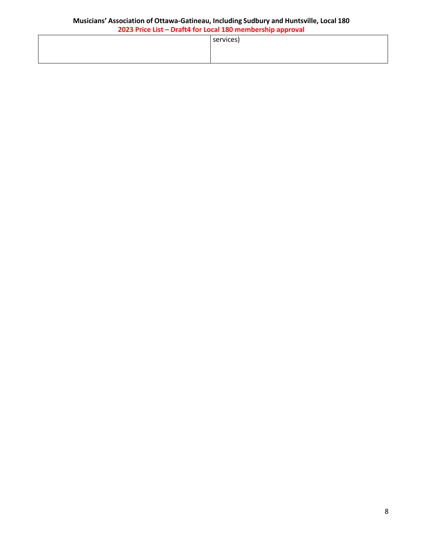| services) |
|-----------|
|           |
|           |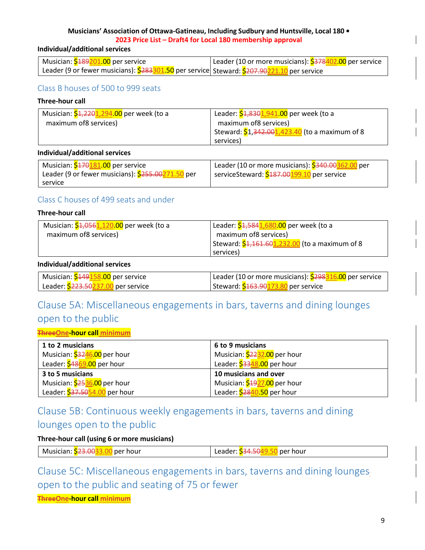### **Individual/additional services**

| Musician: <mark>\$189201.00</mark> per service                                                                        | Leader (10 or more musicians): <mark>\$378<mark>402.00</mark> per service</mark> |
|-----------------------------------------------------------------------------------------------------------------------|----------------------------------------------------------------------------------|
| Leader (9 or fewer musicians): <mark>\$283301.50</mark> per service  Steward: <mark>\$207.90221.10</mark> per service |                                                                                  |

# <span id="page-8-0"></span>Class B houses of 500 to 999 seats

# **Three-hour call**

| Musician: <mark>\$1,2201,294.00</mark> per week (to a | Leader: \$4,830 1,941.00 per week (to a        |
|-------------------------------------------------------|------------------------------------------------|
| maximum of 8 services)                                | maximum of 8 services)                         |
|                                                       | Steward: \$1,342.001,423.40 (to a maximum of 8 |
|                                                       | services)                                      |

### **Individual/additional services**

| Musician: \$170181.00 per service                        | Leader (10 or more musicians): \$340.00362.00 per |
|----------------------------------------------------------|---------------------------------------------------|
| Leader (9 or fewer musicians): <b>\$255.00271.50</b> per | serviceSteward: \$487.00199.10 per service        |
| service                                                  |                                                   |

# <span id="page-8-1"></span>Class C houses of 499 seats and under

### **Three-hour call**

| Musician: \$1,056.1,120.00 per week (to a | Leader: \$4,584 1,680.00 per week (to a        |
|-------------------------------------------|------------------------------------------------|
| maximum of8 services)                     | maximum of8 services)                          |
|                                           | Steward: \$4,161.601,232.00 (to a maximum of 8 |
|                                           | services)                                      |
|                                           |                                                |

# **Individual/additional services**

| Musician: <mark>\$149158.00</mark> per service               | Leader (10 or more musicians): <mark>\$298<mark>316.00</mark> per service</mark> |
|--------------------------------------------------------------|----------------------------------------------------------------------------------|
| Leader: <mark>\$223.50<mark>237.00</mark> per service</mark> | Steward: \$163.90173.80 per service                                              |

# <span id="page-8-2"></span>Clause 5A: Miscellaneous engagements in bars, taverns and dining lounges open to the public

### **ThreeOne-hour call minimum**

| 1 to 2 musicians                         | 6 to 9 musicians             |
|------------------------------------------|------------------------------|
| Musician: \$3246.00 per hour             | Musician: \$2232.00 per hour |
| Leader: \$48 <mark>69.00</mark> per hour | Leader: \$3348.00 per hour   |
| 3 to 5 musicians                         | 10 musicians and over        |
| Musician: \$2536.00 per hour             | Musician: \$1927.00 per hour |
| Leader: \$37.5054.00 per hour            | Leader: \$2840.50 per hour   |

# <span id="page-8-3"></span>Clause 5B: Continuous weekly engagements in bars, taverns and dining lounges open to the public

# **Three-hour call (using 6 or more musicians)**

| <b>S23.00</b> | per hour     |
|---------------|--------------|
| Musician:     | <b>34.50</b> |
| per hour      | Leader:      |

Clause 5C: Miscellaneous engagements in bars, taverns and dining lounges open to the public and seating of 75 or fewer

**ThreeOne-hour call minimum**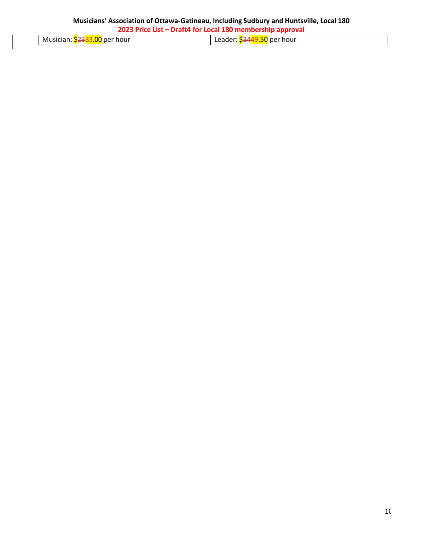| Musician: 2333.00 per hour |  |  |  |  |  |
|----------------------------|--|--|--|--|--|
|----------------------------|--|--|--|--|--|

Leader: \$3449.50 per hour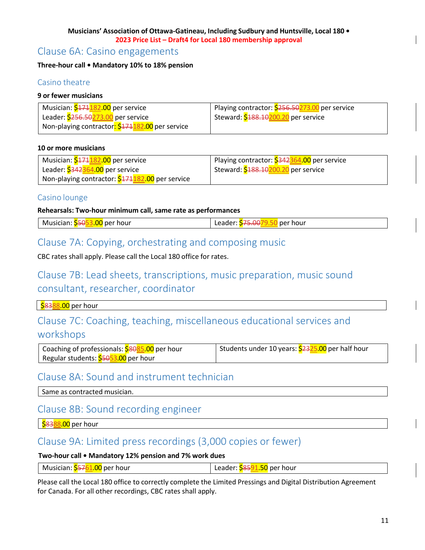# <span id="page-10-0"></span>Clause 6A: Casino engagements

# <span id="page-10-1"></span>**Three-hour call • Mandatory 10% to 18% pension**

# Casino theatre

# **9 or fewer musicians**

| Musician: <mark>\$171182.00</mark> per service                | Playing contractor: 5256.50273.00 per service |
|---------------------------------------------------------------|-----------------------------------------------|
| Leader: \$256.50273.00 per service                            | Steward: \$488.10200.20 per service           |
| Non-playing contractor <mark>: \$171182.00</mark> per service |                                               |

### **10 or more musicians**

| Musician: <mark>\$171182.00</mark> per service  | Playing contractor: 5342364.00 per service |
|-------------------------------------------------|--------------------------------------------|
| Leader: \$342364.00 per service                 | Steward: \$188.10200.20 per service        |
| Non-playing contractor: \$474182.00 per service |                                            |

# <span id="page-10-2"></span>Casino lounge

# **Rehearsals: Two-hour minimum call, same rate as performances**

| Musician: 55053.00 per hour | Leader: \$75.0079.50 per hour |
|-----------------------------|-------------------------------|
|-----------------------------|-------------------------------|

# <span id="page-10-3"></span>Clause 7A: Copying, orchestrating and composing music

CBC rates shall apply. Please call the Local 180 office for rates.

# <span id="page-10-4"></span>Clause 7B: Lead sheets, transcriptions, music preparation, music sound consultant, researcher, coordinator

S<mark>8388.00</mark> per hour

# <span id="page-10-5"></span>Clause 7C: Coaching, teaching, miscellaneous educational services and workshops

| Coaching of professionals: <mark>\$8085.00</mark> per hour | Students under 10 years: <mark>\$2325.00</mark> per half hour |
|------------------------------------------------------------|---------------------------------------------------------------|
| Regular students: <mark>\$5053.00</mark> per hour          |                                                               |

# <span id="page-10-6"></span>Clause 8A: Sound and instrument technician

Same as contracted musician.

# <span id="page-10-7"></span>Clause 8B: Sound recording engineer

| <mark>\$83<mark>88.00</mark> per hour</mark>

# <span id="page-10-8"></span>Clause 9A: Limited press recordings (3,000 copies or fewer)

# **Two-hour call • Mandatory 12% pension and 7% work dues**

| ∴Mı<br>: hour<br>hour<br>usician<br>. per<br>$\sim$ $\sim$ $\sim$<br><del>s</del> u per<br>1 к<br>$\sim$ 1 $\sim$ 1 $\sim$<br><u> a a c</u><br>---- |
|-----------------------------------------------------------------------------------------------------------------------------------------------------|
|-----------------------------------------------------------------------------------------------------------------------------------------------------|

Please call the Local 180 office to correctly complete the Limited Pressings and Digital Distribution Agreement for Canada. For all other recordings, CBC rates shall apply.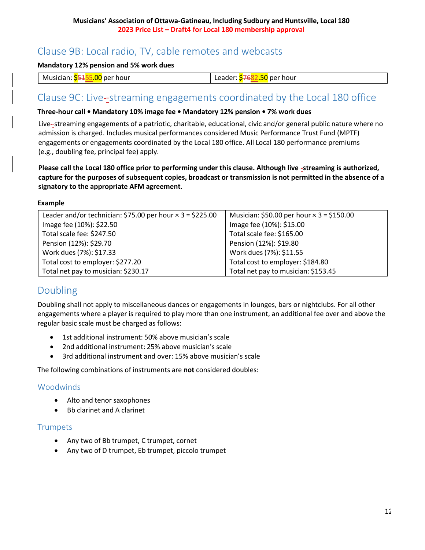# <span id="page-11-0"></span>Clause 9B: Local radio, TV, cable remotes and webcasts

**Mandatory 12% pension and 5% work dues**

| nn.<br>Musician:<br><sup>.</sup> hour<br>, per<br>حددا<br>.UU | per hour<br>$\sim$ $\sim$<br>ы.<br>. Həl<br>aue |
|---------------------------------------------------------------|-------------------------------------------------|
|---------------------------------------------------------------|-------------------------------------------------|

# <span id="page-11-1"></span>Clause 9C: Live--streaming engagements coordinated by the Local 180 office

### **Three-hour call • Mandatory 10% image fee • Mandatory 12% pension • 7% work dues**

Live -streaming engagements of a patriotic, charitable, educational, civic and/or general public nature where no admission is charged. Includes musical performances considered Music Performance Trust Fund (MPTF) engagements or engagements coordinated by the Local 180 office. All Local 180 performance premiums (e.g., doubling fee, principal fee) apply.

**Please call the Local 180 office prior to performing under this clause. Although live -streaming is authorized, capture for the purposes of subsequent copies, broadcast or transmission is not permitted in the absence of a signatory to the appropriate AFM agreement.**

# **Example**

| Leader and/or technician: \$75.00 per hour $\times$ 3 = \$225.00 | Musician: \$50.00 per hour $\times$ 3 = \$150.00 |
|------------------------------------------------------------------|--------------------------------------------------|
| Image fee (10%): \$22.50                                         | Image fee (10%): \$15.00                         |
| Total scale fee: \$247.50                                        | Total scale fee: \$165.00                        |
| Pension (12%): \$29.70                                           | Pension (12%): \$19.80                           |
| Work dues (7%): \$17.33                                          | Work dues (7%): \$11.55                          |
| Total cost to employer: \$277.20                                 | Total cost to employer: \$184.80                 |
| Total net pay to musician: \$230.17                              | Total net pay to musician: \$153.45              |

# <span id="page-11-2"></span>Doubling

Doubling shall not apply to miscellaneous dances or engagements in lounges, bars or nightclubs. For all other engagements where a player is required to play more than one instrument, an additional fee over and above the regular basic scale must be charged as follows:

- 1st additional instrument: 50% above musician's scale
- 2nd additional instrument: 25% above musician's scale
- 3rd additional instrument and over: 15% above musician's scale

The following combinations of instruments are **not** considered doubles:

# <span id="page-11-3"></span>Woodwinds

- Alto and tenor saxophones
- Bb clarinet and A clarinet

# <span id="page-11-4"></span>Trumpets

- Any two of Bb trumpet, C trumpet, cornet
- Any two of D trumpet, Eb trumpet, piccolo trumpet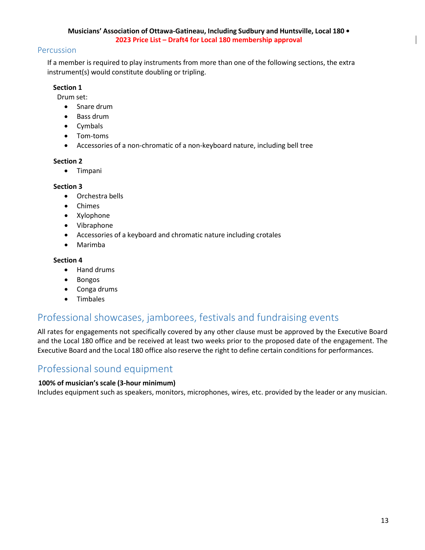# <span id="page-12-0"></span>Percussion

If a member is required to play instruments from more than one of the following sections, the extra instrument(s) would constitute doubling or tripling.

# **Section 1**

Drum set:

- Snare drum
- Bass drum
- Cymbals
- Tom-toms
- Accessories of a non-chromatic of a non-keyboard nature, including bell tree

### **Section 2**

• Timpani

# **Section 3**

- Orchestra bells
- Chimes
- Xylophone
- Vibraphone
- Accessories of a keyboard and chromatic nature including crotales
- Marimba

# **Section 4**

- Hand drums
- Bongos
- Conga drums
- Timbales

# <span id="page-12-1"></span>Professional showcases, jamborees, festivals and fundraising events

All rates for engagements not specifically covered by any other clause must be approved by the Executive Board and the Local 180 office and be received at least two weeks prior to the proposed date of the engagement. The Executive Board and the Local 180 office also reserve the right to define certain conditions for performances.

# <span id="page-12-2"></span>Professional sound equipment

# **100% of musician's scale (3-hour minimum)**

Includes equipment such as speakers, monitors, microphones, wires, etc. provided by the leader or any musician.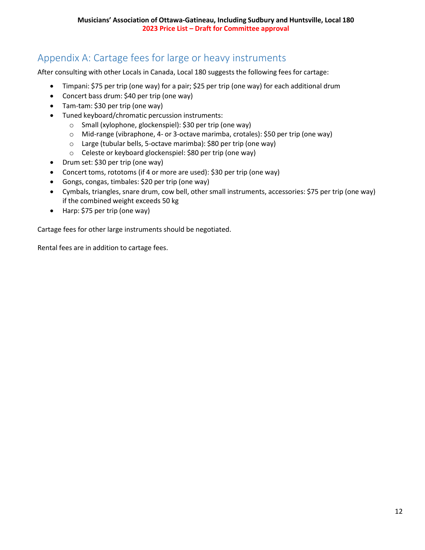# <span id="page-13-0"></span>Appendix A: Cartage fees for large or heavy instruments

After consulting with other Locals in Canada, Local 180 suggests the following fees for cartage:

- Timpani: \$75 per trip (one way) for a pair; \$25 per trip (one way) for each additional drum
- Concert bass drum: \$40 per trip (one way)
- Tam-tam: \$30 per trip (one way)
- Tuned keyboard/chromatic percussion instruments:
	- o Small (xylophone, glockenspiel): \$30 per trip (one way)
	- o Mid-range (vibraphone, 4- or 3-octave marimba, crotales): \$50 per trip (one way)
	- o Large (tubular bells, 5-octave marimba): \$80 per trip (one way)
	- o Celeste or keyboard glockenspiel: \$80 per trip (one way)
- Drum set: \$30 per trip (one way)
- Concert toms, rototoms (if 4 or more are used): \$30 per trip (one way)
- Gongs, congas, timbales: \$20 per trip (one way)
- Cymbals, triangles, snare drum, cow bell, other small instruments, accessories: \$75 per trip (one way) if the combined weight exceeds 50 kg
- Harp: \$75 per trip (one way)

Cartage fees for other large instruments should be negotiated.

Rental fees are in addition to cartage fees.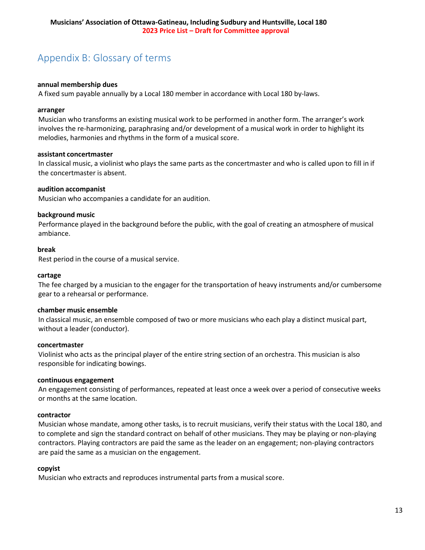# <span id="page-14-0"></span>Appendix B: Glossary of terms

#### **annual membership dues**

A fixed sum payable annually by a Local 180 member in accordance with Local 180 by-laws.

#### **arranger**

Musician who transforms an existing musical work to be performed in another form. The arranger's work involves the re-harmonizing, paraphrasing and/or development of a musical work in order to highlight its melodies, harmonies and rhythms in the form of a musical score.

#### **assistant concertmaster**

In classical music, a violinist who plays the same parts as the concertmaster and who is called upon to fill in if the concertmaster is absent.

#### **audition accompanist**

Musician who accompanies a candidate for an audition.

#### **background music**

Performance played in the background before the public, with the goal of creating an atmosphere of musical ambiance.

#### **break**

Rest period in the course of a musical service.

#### **cartage**

The fee charged by a musician to the engager for the transportation of heavy instruments and/or cumbersome gear to a rehearsal or performance.

#### **chamber music ensemble**

In classical music, an ensemble composed of two or more musicians who each play a distinct musical part, without a leader (conductor).

#### **concertmaster**

Violinist who acts as the principal player of the entire string section of an orchestra. This musician is also responsible for indicating bowings.

#### **continuous engagement**

An engagement consisting of performances, repeated at least once a week over a period of consecutive weeks or months at the same location.

#### **contractor**

Musician whose mandate, among other tasks, is to recruit musicians, verify their status with the Local 180, and to complete and sign the standard contract on behalf of other musicians. They may be playing or non-playing contractors. Playing contractors are paid the same as the leader on an engagement; non-playing contractors are paid the same as a musician on the engagement.

#### **copyist**

Musician who extracts and reproduces instrumental parts from a musical score.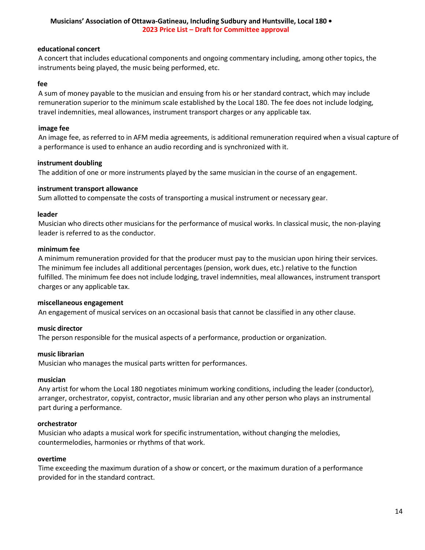### **educational concert**

A concert that includes educational components and ongoing commentary including, among other topics, the instruments being played, the music being performed, etc.

#### **fee**

A sum of money payable to the musician and ensuing from his or her standard contract, which may include remuneration superior to the minimum scale established by the Local 180. The fee does not include lodging, travel indemnities, meal allowances, instrument transport charges or any applicable tax.

#### **image fee**

An image fee, as referred to in AFM media agreements, is additional remuneration required when a visual capture of a performance is used to enhance an audio recording and is synchronized with it.

#### **instrument doubling**

The addition of one or more instruments played by the same musician in the course of an engagement.

#### **instrument transport allowance**

Sum allotted to compensate the costs of transporting a musical instrument or necessary gear.

#### **leader**

Musician who directs other musicians for the performance of musical works. In classical music, the non-playing leader is referred to as the conductor.

#### **minimum fee**

A minimum remuneration provided for that the producer must pay to the musician upon hiring their services. The minimum fee includes all additional percentages (pension, work dues, etc.) relative to the function fulfilled. The minimum fee does not include lodging, travel indemnities, meal allowances, instrument transport charges or any applicable tax.

#### **miscellaneous engagement**

An engagement of musical services on an occasional basis that cannot be classified in any other clause.

### **music director**

The person responsible for the musical aspects of a performance, production or organization.

#### **music librarian**

Musician who manages the musical parts written for performances.

#### **musician**

Any artist for whom the Local 180 negotiates minimum working conditions, including the leader (conductor), arranger, orchestrator, copyist, contractor, music librarian and any other person who plays an instrumental part during a performance.

#### **orchestrator**

Musician who adapts a musical work for specific instrumentation, without changing the melodies, countermelodies, harmonies or rhythms of that work.

#### **overtime**

Time exceeding the maximum duration of a show or concert, or the maximum duration of a performance provided for in the standard contract.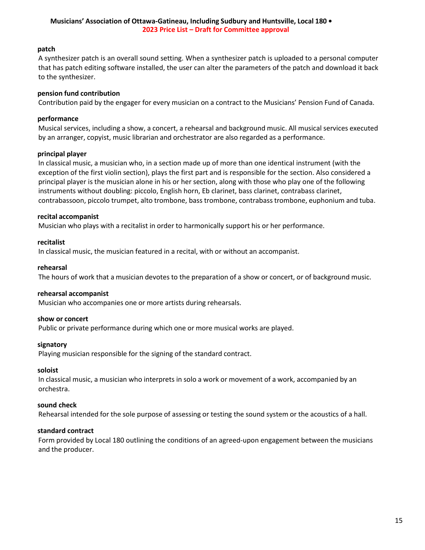### **patch**

A synthesizer patch is an overall sound setting. When a synthesizer patch is uploaded to a personal computer that has patch editing software installed, the user can alter the parameters of the patch and download it back to the synthesizer.

### **pension fund contribution**

Contribution paid by the engager for every musician on a contract to the Musicians' Pension Fund of Canada.

### **performance**

Musical services, including a show, a concert, a rehearsal and background music. All musical services executed by an arranger, copyist, music librarian and orchestrator are also regarded as a performance.

### **principal player**

In classical music, a musician who, in a section made up of more than one identical instrument (with the exception of the first violin section), plays the first part and is responsible for the section. Also considered a principal player is the musician alone in his or her section, along with those who play one of the following instruments without doubling: piccolo, English horn, Eb clarinet, bass clarinet, contrabass clarinet, contrabassoon, piccolo trumpet, alto trombone, bass trombone, contrabass trombone, euphonium and tuba.

# **recital accompanist**

Musician who plays with a recitalist in order to harmonically support his or her performance.

### **recitalist**

In classical music, the musician featured in a recital, with or without an accompanist.

### **rehearsal**

The hours of work that a musician devotes to the preparation of a show or concert, or of background music.

### **rehearsal accompanist**

Musician who accompanies one or more artists during rehearsals.

### **show or concert**

Public or private performance during which one or more musical works are played.

### **signatory**

Playing musician responsible for the signing of the standard contract.

### **soloist**

In classical music, a musician who interprets in solo a work or movement of a work, accompanied by an orchestra.

### **sound check**

Rehearsal intended for the sole purpose of assessing or testing the sound system or the acoustics of a hall.

### **standard contract**

Form provided by Local 180 outlining the conditions of an agreed-upon engagement between the musicians and the producer.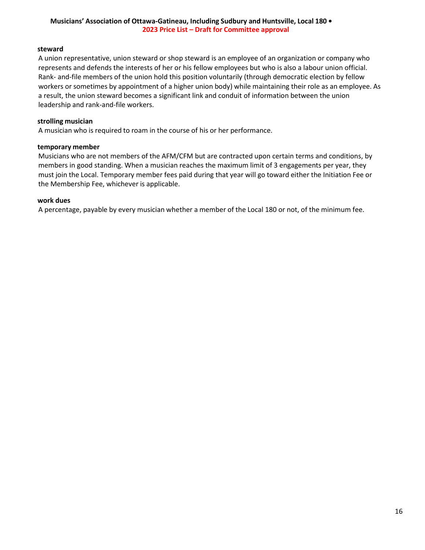### **steward**

A union representative, union steward or shop steward is an employee of an organization or company who represents and defends the interests of her or his fellow employees but who is also a labour union official. Rank- and-file members of the union hold this position voluntarily (through democratic election by fellow workers or sometimes by appointment of a higher union body) while maintaining their role as an employee. As a result, the union steward becomes a significant link and conduit of information between the union leadership and rank-and-file workers.

### **strolling musician**

A musician who is required to roam in the course of his or her performance.

#### **temporary member**

Musicians who are not members of the AFM/CFM but are contracted upon certain terms and conditions, by members in good standing. When a musician reaches the maximum limit of 3 engagements per year, they must join the Local. Temporary member fees paid during that year will go toward either the Initiation Fee or the Membership Fee, whichever is applicable.

#### **work dues**

A percentage, payable by every musician whether a member of the Local 180 or not, of the minimum fee.